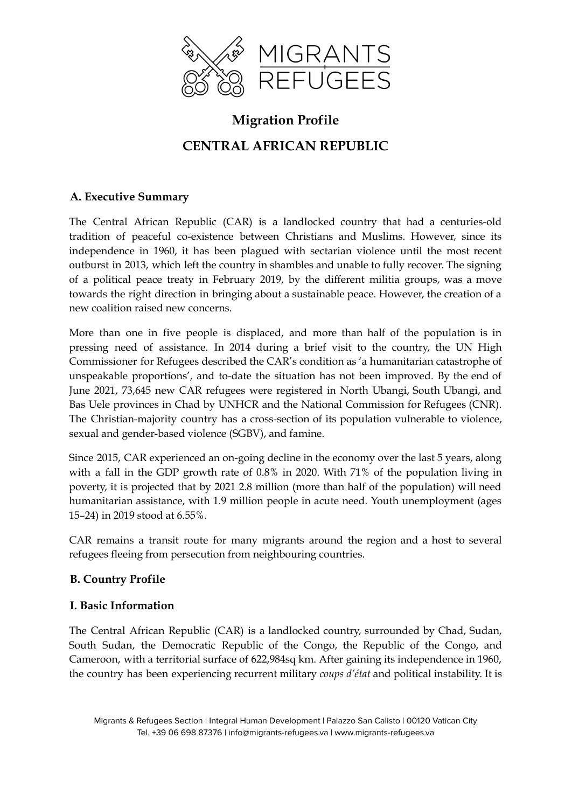

# **Migration Profile CENTRAL AFRICAN REPUBLIC**

### **A. Executive Summary**

The Central African Republic (CAR) is a landlocked country that had a centuries-old tradition of peaceful co-existence between Christians and Muslims. However, since its independence in 1960, it has been plagued with sectarian violence until the most recent outburst in 2013, which left the country in shambles and unable to fully recover. The signing of a political peace treaty in February 2019, by the different militia groups, was a move towards the right direction in bringing about a sustainable peace. However, the creation of a new coalition raised new concerns.

More than one in five people is displaced, and more than half of the population is in pressing need of assistance. In 2014 during a brief visit to the country, the UN High Commissioner for Refugees described the CAR's condition as 'a humanitarian catastrophe of unspeakable proportions', and to-date the situation has not been improved. By the end of June 2021, 73,645 new CAR refugees were registered in North Ubangi, South Ubangi, and Bas Uele provinces in Chad by UNHCR and the National Commission for Refugees (CNR). The Christian-majority country has a cross-section of its population vulnerable to violence, sexual and gender-based violence (SGBV), and famine.

Since 2015, CAR experienced an on-going decline in the economy over the last 5 years, along with a fall in the GDP growth rate of 0.8% in 2020. With 71% of the population living in poverty, it is projected that by 2021 2.8 million (more than half of the population) will need humanitarian assistance, with 1.9 million people in acute need. Youth unemployment (ages 15–24) in 2019 stood at 6.55%.

CAR remains a transit route for many migrants around the region and a host to several refugees fleeing from persecution from neighbouring countries.

## **B. Country Profile**

#### **I. Basic Information**

The Central African Republic (CAR) is a landlocked country, surrounded by Chad, Sudan, South Sudan, the Democratic Republic of the Congo, the Republic of the Congo, and Cameroon, with a territorial surface of 622,984sq km. After gaining its independence in 1960, the country has been experiencing recurrent military *coups d'état* and political instability. It is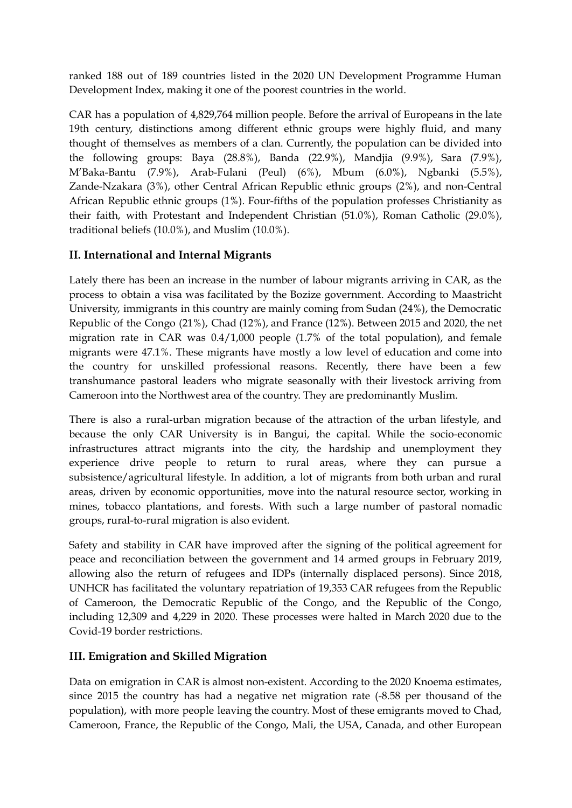ranked 188 out of 189 countries listed in the 2020 UN Development Programme Human Development Index, making it one of the poorest countries in the world.

CAR has a population of 4,829,764 million people. Before the arrival of Europeans in the late 19th century, distinctions among different ethnic groups were highly fluid, and many thought of themselves as members of a clan. Currently, the population can be divided into the following groups: Baya (28.8%), Banda (22.9%), Mandjia (9.9%), Sara (7.9%), M'Baka-Bantu (7.9%), Arab-Fulani (Peul) (6%), Mbum (6.0%), Ngbanki (5.5%), Zande-Nzakara (3%), other Central African Republic ethnic groups (2%), and non-Central African Republic ethnic groups (1%). Four-fifths of the population professes Christianity as their faith, with Protestant and Independent Christian (51.0%), Roman Catholic (29.0%), traditional beliefs (10.0%), and Muslim (10.0%).

# **II. International and Internal Migrants**

Lately there has been an increase in the number of labour migrants arriving in CAR, as the process to obtain a visa was facilitated by the Bozize government. According to Maastricht University, immigrants in this country are mainly coming from Sudan (24%), the Democratic Republic of the Congo (21%), Chad (12%), and France (12%). Between 2015 and 2020, the net migration rate in CAR was 0.4/1,000 people (1.7% of the total population), and female migrants were 47.1%. These migrants have mostly a low level of education and come into the country for unskilled professional reasons. Recently, there have been a few transhumance pastoral leaders who migrate seasonally with their livestock arriving from Cameroon into the Northwest area of the country. They are predominantly Muslim.

There is also a rural-urban migration because of the attraction of the urban lifestyle, and because the only CAR University is in Bangui, the capital. While the socio-economic infrastructures attract migrants into the city, the hardship and unemployment they experience drive people to return to rural areas, where they can pursue a subsistence/agricultural lifestyle. In addition, a lot of migrants from both urban and rural areas, driven by economic opportunities, move into the natural resource sector, working in mines, tobacco plantations, and forests. With such a large number of pastoral nomadic groups, rural-to-rural migration is also evident.

Safety and stability in CAR have improved after the signing of the political agreement for peace and reconciliation between the government and 14 armed groups in February 2019, allowing also the return of refugees and IDPs (internally displaced persons). Since 2018, UNHCR has facilitated the voluntary repatriation of 19,353 CAR refugees from the Republic of Cameroon, the Democratic Republic of the Congo, and the Republic of the Congo, including 12,309 and 4,229 in 2020. These processes were halted in March 2020 due to the Covid-19 border restrictions.

# **III. Emigration and Skilled Migration**

Data on emigration in CAR is almost non-existent. According to the 2020 Knoema estimates, since 2015 the country has had a negative net migration rate (-8.58 per thousand of the population), with more people leaving the country. Most of these emigrants moved to Chad, Cameroon, France, the Republic of the Congo, Mali, the USA, Canada, and other European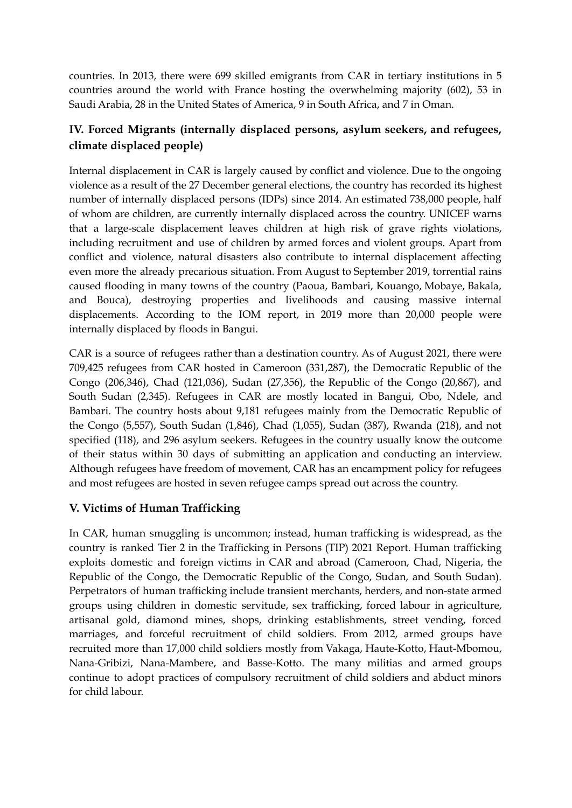countries. In 2013, there were 699 skilled emigrants from CAR in tertiary institutions in 5 countries around the world with France hosting the overwhelming majority (602), 53 in Saudi Arabia, 28 in the United States of America, 9 in South Africa, and 7 in Oman.

# **IV. Forced Migrants (internally displaced persons, asylum seekers, and refugees, climate displaced people)**

Internal displacement in CAR is largely caused by conflict and violence. Due to the ongoing violence as a result of the 27 December general elections, the country has recorded its highest number of internally displaced persons (IDPs) since 2014. An estimated 738,000 people, half of whom are children, are currently internally displaced across the country. UNICEF warns that a large-scale displacement leaves children at high risk of grave rights violations, including recruitment and use of children by armed forces and violent groups. Apart from conflict and violence, natural disasters also contribute to internal displacement affecting even more the already precarious situation. From August to September 2019, torrential rains caused flooding in many towns of the country (Paoua, Bambari, Kouango, Mobaye, Bakala, and Bouca), destroying properties and livelihoods and causing massive internal displacements. According to the IOM report, in 2019 more than 20,000 people were internally displaced by floods in Bangui.

CAR is a source of refugees rather than a destination country. As of August 2021, there were 709,425 refugees from CAR hosted in Cameroon (331,287), the Democratic Republic of the Congo (206,346), Chad (121,036), Sudan (27,356), the Republic of the Congo (20,867), and South Sudan (2,345). Refugees in CAR are mostly located in Bangui, Obo, Ndele, and Bambari. The country hosts about 9,181 refugees mainly from the Democratic Republic of the Congo (5,557), South Sudan (1,846), Chad (1,055), Sudan (387), Rwanda (218), and not specified (118), and 296 asylum seekers. Refugees in the country usually know the outcome of their status within 30 days of submitting an application and conducting an interview. Although refugees have freedom of movement, CAR has an encampment policy for refugees and most refugees are hosted in seven refugee camps spread out across the country.

## **V. Victims of Human Trafficking**

In CAR, human smuggling is uncommon; instead, human trafficking is widespread, as the country is ranked Tier 2 in the Trafficking in Persons (TIP) 2021 Report. Human trafficking exploits domestic and foreign victims in CAR and abroad (Cameroon, Chad, Nigeria, the Republic of the Congo, the Democratic Republic of the Congo, Sudan, and South Sudan). Perpetrators of human trafficking include transient merchants, herders, and non-state armed groups using children in domestic servitude, sex trafficking, forced labour in agriculture, artisanal gold, diamond mines, shops, drinking establishments, street vending, forced marriages, and forceful recruitment of child soldiers. From 2012, armed groups have recruited more than 17,000 child soldiers mostly from Vakaga, Haute-Kotto, Haut-Mbomou, Nana-Gribizi, Nana-Mambere, and Basse-Kotto. The many militias and armed groups continue to adopt practices of compulsory recruitment of child soldiers and abduct minors for child labour.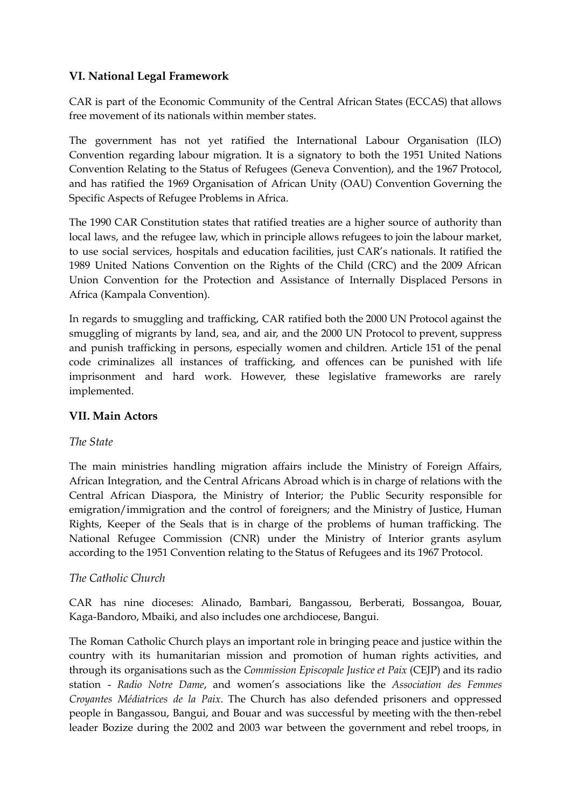## **VI. National Legal Framework**

CAR is part of the Economic Community of the Central African States (ECCAS) that allows free movement of its nationals within member states.

The government has not yet ratified the International Labour Organisation (ILO) Convention regarding labour migration. It is a signatory to both the 1951 United Nations Convention Relating to the Status of Refugees (Geneva Convention), and the 1967 Protocol, and has ratified the 1969 Organisation of African Unity (OAU) Convention Governing the Specific Aspects of Refugee Problems in Africa.

The 1990 CAR Constitution states that ratified treaties are a higher source of authority than local laws, and the refugee law, which in principle allows refugees to join the labour market, to use social services, hospitals and education facilities, just CAR's nationals. It ratified the 1989 United Nations Convention on the Rights of the Child (CRC) and the 2009 African Union Convention for the Protection and Assistance of Internally Displaced Persons in Africa (Kampala Convention).

In regards to smuggling and trafficking, CAR ratified both the 2000 UN Protocol against the smuggling of migrants by land, sea, and air, and the 2000 UN Protocol to prevent, suppress and punish trafficking in persons, especially women and children. Article 151 of the penal code criminalizes all instances of trafficking, and offences can be punished with life imprisonment and hard work. However, these legislative frameworks are rarely implemented.

#### **VII. Main Actors**

#### *The State*

The main ministries handling migration affairs include the Ministry of Foreign Affairs, African Integration, and the Central Africans Abroad which is in charge of relations with the Central African Diaspora, the Ministry of Interior; the Public Security responsible for emigration/immigration and the control of foreigners; and the Ministry of Justice, Human Rights, Keeper of the Seals that is in charge of the problems of human trafficking. The National Refugee Commission (CNR) under the Ministry of Interior grants asylum according to the 1951 Convention relating to the Status of Refugees and its 1967 Protocol.

#### *The Catholic Church*

CAR has nine dioceses: Alinado, Bambari, Bangassou, Berberati, Bossangoa, Bouar, Kaga-Bandoro, Mbaiki, and also includes one archdiocese, Bangui.

The Roman Catholic Church plays an important role in bringing peace and justice within the country with its humanitarian mission and promotion of human rights activities, and through its organisations such as the *Commission Episcopale Justice et Paix* (CEJP) and its radio station - *Radio Notre Dame*, and women's associations like the *Association des Femmes Croyantes Médiatrices de la Paix*. The Church has also defended prisoners and oppressed people in Bangassou, Bangui, and Bouar and was successful by meeting with the then-rebel leader Bozize during the 2002 and 2003 war between the government and rebel troops, in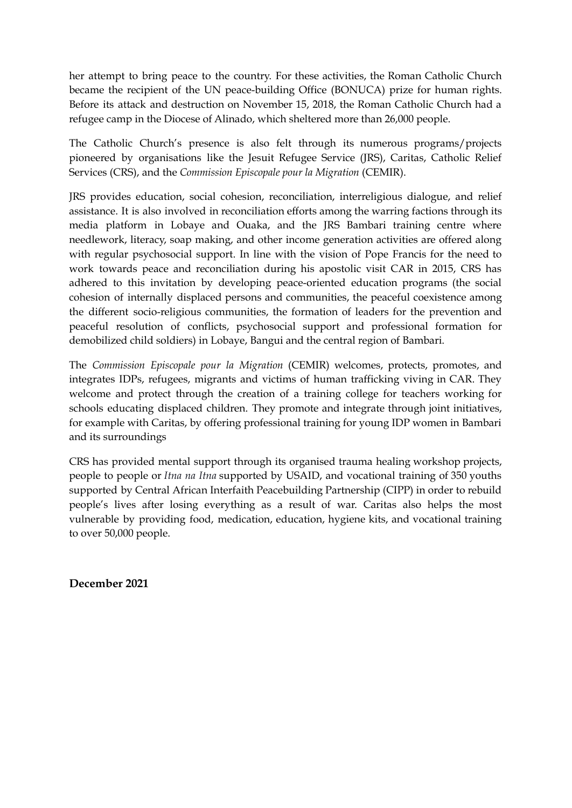her attempt to bring peace to the country. For these activities, the Roman Catholic Church became the recipient of the UN peace-building Office (BONUCA) prize for human rights. Before its attack and destruction on November 15, 2018, the Roman Catholic Church had a refugee camp in the Diocese of Alinado, which sheltered more than 26,000 people.

The Catholic Church's presence is also felt through its numerous programs/projects pioneered by organisations like the Jesuit Refugee Service (JRS), Caritas, Catholic Relief Services (CRS), and the *Commission Episcopale pour la Migration* (CEMIR).

JRS provides education, social cohesion, reconciliation, interreligious dialogue, and relief assistance. It is also involved in reconciliation efforts among the warring factions through its media platform in Lobaye and Ouaka, and the JRS Bambari training centre where needlework, literacy, soap making, and other income generation activities are offered along with regular psychosocial support. In line with the vision of Pope Francis for the need to work towards peace and reconciliation during his apostolic visit CAR in 2015, CRS has adhered to this invitation by developing peace-oriented education programs (the social cohesion of internally displaced persons and communities, the peaceful coexistence among the different socio-religious communities, the formation of leaders for the prevention and peaceful resolution of conflicts, psychosocial support and professional formation for demobilized child soldiers) in Lobaye, Bangui and the central region of Bambari.

The *Commission Episcopale pour la Migration* (CEMIR) welcomes, protects, promotes, and integrates IDPs, refugees, migrants and victims of human trafficking viving in CAR. They welcome and protect through the creation of a training college for teachers working for schools educating displaced children. They promote and integrate through joint initiatives, for example with Caritas, by offering professional training for young IDP women in Bambari and its surroundings

CRS has provided mental support through its organised trauma healing workshop projects, people to people or *Itna na Itna* supported by USAID, and vocational training of 350 youths supported by Central African Interfaith Peacebuilding Partnership (CIPP) in order to rebuild people's lives after losing everything as a result of war. Caritas also helps the most vulnerable by providing food, medication, education, hygiene kits, and vocational training to over 50,000 people.

**December 2021**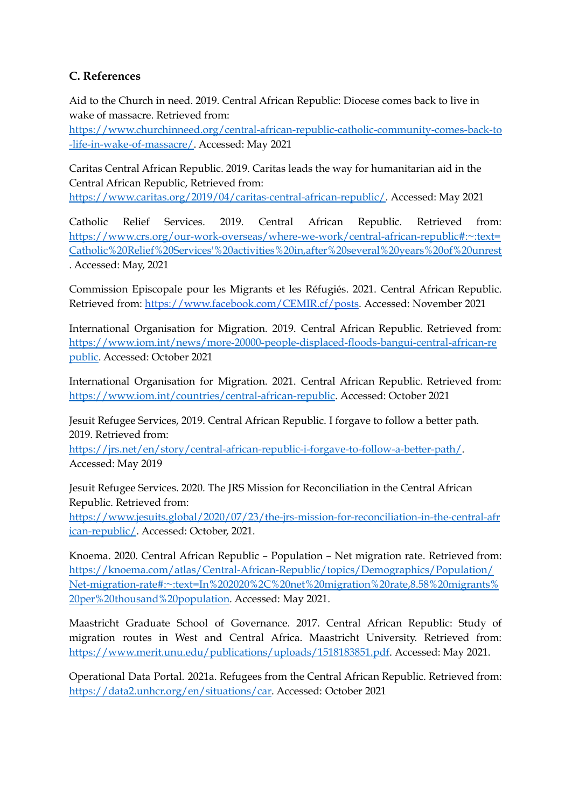## **C. References**

Aid to the Church in need. 2019. Central African Republic: Diocese comes back to live in wake of massacre. Retrieved from:

[https://www.churchinneed.org/central-african-republic-catholic-community-comes-back-to](https://www.churchinneed.org/central-african-republic-catholic-community-comes-back-to-life-in-wake-of-massacre/) [-life-in-wake-of-massacre/.](https://www.churchinneed.org/central-african-republic-catholic-community-comes-back-to-life-in-wake-of-massacre/) Accessed: May 2021

Caritas Central African Republic. 2019. Caritas leads the way for humanitarian aid in the Central African Republic, Retrieved from: [https://www.caritas.org/2019/04/caritas-central-african-republic/.](https://www.caritas.org/2019/04/caritas-central-african-republic/) Accessed: May 2021

Catholic Relief Services. 2019. Central African Republic. Retrieved from: [https://www.crs.org/our-work-overseas/where-we-work/central-african-republic#:~:text=](https://www.crs.org/our-work-overseas/where-we-work/central-african-republic#:~:text=Catholic%20Relief%20Services) [Catholic%20Relief%20Services'%20activities%20in,after%20several%20years%20of%20unrest](https://www.crs.org/our-work-overseas/where-we-work/central-african-republic#:~:text=Catholic%20Relief%20Services) . Accessed: May, 2021

Commission Episcopale pour les Migrants et les Réfugiés. 2021. Central African Republic. Retrieved from: [https://www.facebook.com/CEMIR.cf/posts.](https://www.facebook.com/CEMIR.cf/posts) Accessed: November 2021

International Organisation for Migration. 2019. Central African Republic. Retrieved from: [https://www.iom.int/news/more-20000-people-displaced-floods-bangui-central-african-re](https://www.iom.int/news/more-20000-people-displaced-floods-bangui-central-african-republic) [public.](https://www.iom.int/news/more-20000-people-displaced-floods-bangui-central-african-republic) Accessed: October 2021

International Organisation for Migration. 2021. Central African Republic. Retrieved from: <https://www.iom.int/countries/central-african-republic>. Accessed: October 2021

Jesuit Refugee Services, 2019. Central African Republic. I forgave to follow a better path. 2019. Retrieved from:

<https://jrs.net/en/story/central-african-republic-i-forgave-to-follow-a-better-path/>. Accessed: May 2019

Jesuit Refugee Services. 2020. The JRS Mission for Reconciliation in the Central African Republic. Retrieved from:

[https://www.jesuits.global/2020/07/23/the-jrs-mission-for-reconciliation-in-the-central-afr](https://www.jesuits.global/2020/07/23/the-jrs-mission-for-reconciliation-in-the-central-african-republic/) [ican-republic/](https://www.jesuits.global/2020/07/23/the-jrs-mission-for-reconciliation-in-the-central-african-republic/). Accessed: October, 2021.

Knoema. 2020. Central African Republic – Population – Net migration rate. Retrieved from: [https://knoema.com/atlas/Central-African-Republic/topics/Demographics/Population/](https://knoema.com/atlas/Central-African-Republic/topics/Demographics/Population/Net-migration-rate#:~:text=In%202020%2C%20net%20migration%20rate,8.58%20migrants%20per%20thousand%20population) [Net-migration-rate#:~:text=In%202020%2C%20net%20migration%20rate,8.58%20migrants%](https://knoema.com/atlas/Central-African-Republic/topics/Demographics/Population/Net-migration-rate#:~:text=In%202020%2C%20net%20migration%20rate,8.58%20migrants%20per%20thousand%20population) [20per%20thousand%20population](https://knoema.com/atlas/Central-African-Republic/topics/Demographics/Population/Net-migration-rate#:~:text=In%202020%2C%20net%20migration%20rate,8.58%20migrants%20per%20thousand%20population). Accessed: May 2021.

Maastricht Graduate School of Governance. 2017. Central African Republic: Study of migration routes in West and Central Africa. Maastricht University. Retrieved from: [https://www.merit.unu.edu/publications/uploads/1518183851.pdf.](https://www.merit.unu.edu/publications/uploads/1518183851.pdf) Accessed: May 2021.

Operational Data Portal. 2021a. Refugees from the Central African Republic. Retrieved from: <https://data2.unhcr.org/en/situations/car>. Accessed: October 2021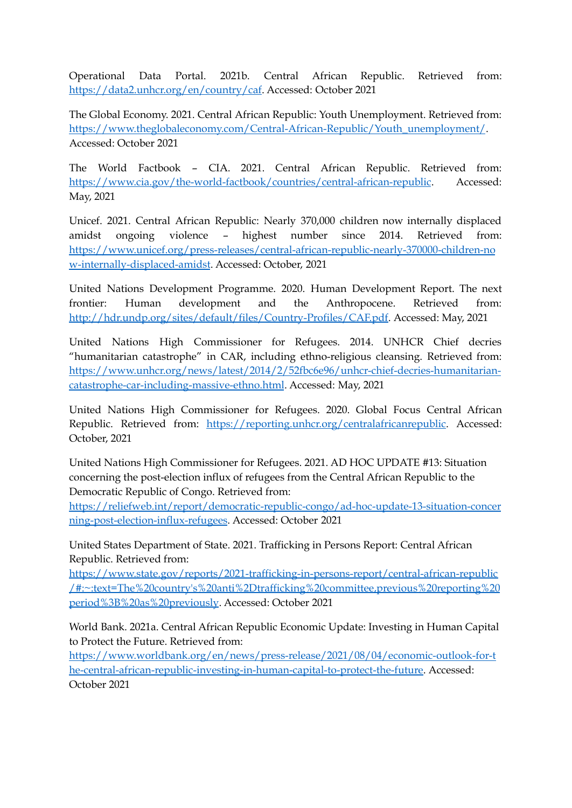Operational Data Portal. 2021b. Central African Republic. Retrieved from: [https://data2.unhcr.org/en/country/caf.](https://data2.unhcr.org/en/country/caf) Accessed: October 2021

The Global Economy. 2021. Central African Republic: Youth Unemployment. Retrieved from: [https://www.theglobaleconomy.com/Central-African-Republic/Youth\\_unemployment/](https://www.theglobaleconomy.com/Central-African-Republic/Youth_unemployment/). Accessed: October 2021

The World Factbook – CIA. 2021. Central African Republic. Retrieved from: <https://www.cia.gov/the-world-factbook/countries/central-african-republic>. Accessed: May, 2021

Unicef. 2021. Central African Republic: Nearly 370,000 children now internally displaced amidst ongoing violence – highest number since 2014. Retrieved from: [https://www.unicef.org/press-releases/central-african-republic-nearly-370000-children-no](https://www.unicef.org/press-releases/central-african-republic-nearly-370000-children-now-internally-displaced-amidst) [w-internally-displaced-amidst](https://www.unicef.org/press-releases/central-african-republic-nearly-370000-children-now-internally-displaced-amidst). Accessed: October, 2021

United Nations Development Programme. 2020. Human Development Report. The next frontier: Human development and the Anthropocene. Retrieved from: [http://hdr.undp.org/sites/default/files/Country-Profiles/CAF.pdf.](http://hdr.undp.org/sites/default/files/Country-Profiles/CAF.pdf) Accessed: May, 2021

United Nations High Commissioner for Refugees. 2014. UNHCR Chief decries "humanitarian catastrophe" in CAR, including ethno-religious cleansing. Retrieved from: [https://www.unhcr.org/news/latest/2014/2/52fbc6e96/unhcr-chief-decries-humanitarian](https://www.unhcr.org/news/latest/2014/2/52fbc6e96/unhcr-chief-decries-humanitarian-catastrophe-car-including-massive-ethno.html)[catastrophe-car-including-massive-ethno.html](https://www.unhcr.org/news/latest/2014/2/52fbc6e96/unhcr-chief-decries-humanitarian-catastrophe-car-including-massive-ethno.html). Accessed: May, 2021

United Nations High Commissioner for Refugees. 2020. Global Focus Central African Republic. Retrieved from: [https://reporting.unhcr.org/centralafricanrepublic.](https://reporting.unhcr.org/centralafricanrepublic) Accessed: October, 2021

United Nations High Commissioner for Refugees. 2021. AD HOC UPDATE #13: Situation concerning the post-election influx of refugees from the Central African Republic to the Democratic Republic of Congo. Retrieved from:

[https://reliefweb.int/report/democratic-republic-congo/ad-hoc-update-13-situation-concer](https://reliefweb.int/report/democratic-republic-congo/ad-hoc-update-13-situation-concerning-post-election-influx-refugees) [ning-post-election-influx-refugees](https://reliefweb.int/report/democratic-republic-congo/ad-hoc-update-13-situation-concerning-post-election-influx-refugees). Accessed: October 2021

United States Department of State. 2021. Trafficking in Persons Report: Central African Republic. Retrieved from:

[https://www.state.gov/reports/2021-trafficking-in-persons-report/central-african-republic](https://www.state.gov/reports/2021-trafficking-in-persons-report/central-african-republic/#:~:text=The%20country) [/#:~:text=The%20country's%20anti%2Dtrafficking%20committee,previous%20reporting%20](https://www.state.gov/reports/2021-trafficking-in-persons-report/central-african-republic/#:~:text=The%20country) [period%3B%20as%20previously](https://www.state.gov/reports/2021-trafficking-in-persons-report/central-african-republic/#:~:text=The%20country). Accessed: October 2021

World Bank. 2021a. Central African Republic Economic Update: Investing in Human Capital to Protect the Future. Retrieved from:

[https://www.worldbank.org/en/news/press-release/2021/08/04/economic-outlook-for-t](https://www.worldbank.org/en/news/press-release/2021/08/04/economic-outlook-for-the-central-african-republic-investing-in-human-capital-to-protect-the-future) [he-central-african-republic-investing-in-human-capital-to-protect-the-future](https://www.worldbank.org/en/news/press-release/2021/08/04/economic-outlook-for-the-central-african-republic-investing-in-human-capital-to-protect-the-future). Accessed: October 2021